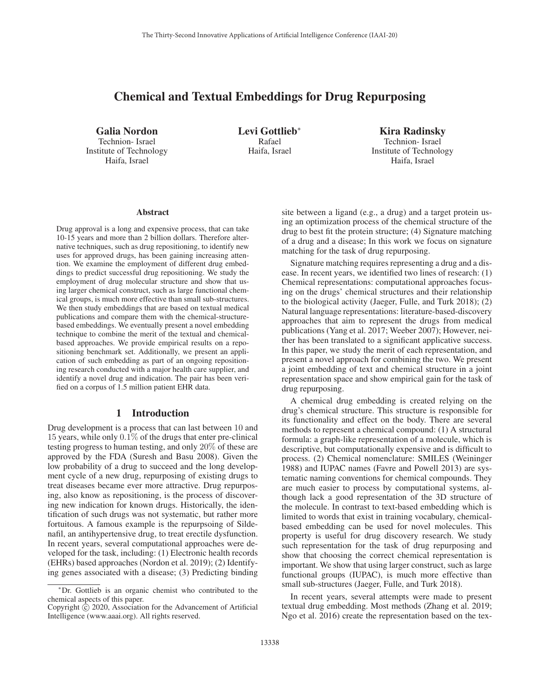# Chemical and Textual Embeddings for Drug Repurposing

Galia Nordon Technion- Israel Institute of Technology Haifa, Israel

Levi Gottlieb<sup>∗</sup> Rafael Haifa, Israel

Kira Radinsky Technion- Israel Institute of Technology Haifa, Israel

#### Abstract

Drug approval is a long and expensive process, that can take 10-15 years and more than 2 billion dollars. Therefore alternative techniques, such as drug repositioning, to identify new uses for approved drugs, has been gaining increasing attention. We examine the employment of different drug embeddings to predict successful drug repositioning. We study the employment of drug molecular structure and show that using larger chemical construct, such as large functional chemical groups, is much more effective than small sub-structures. We then study embeddings that are based on textual medical publications and compare them with the chemical-structurebased embeddings. We eventually present a novel embedding technique to combine the merit of the textual and chemicalbased approaches. We provide empirical results on a repositioning benchmark set. Additionally, we present an application of such embedding as part of an ongoing repositioning research conducted with a major health care supplier, and identify a novel drug and indication. The pair has been verified on a corpus of 1.5 million patient EHR data.

## 1 Introduction

Drug development is a process that can last between 10 and 15 years, while only 0.1% of the drugs that enter pre-clinical testing progress to human testing, and only 20% of these are approved by the FDA (Suresh and Basu 2008). Given the low probability of a drug to succeed and the long development cycle of a new drug, repurposing of existing drugs to treat diseases became ever more attractive. Drug repurposing, also know as repositioning, is the process of discovering new indication for known drugs. Historically, the identification of such drugs was not systematic, but rather more fortuitous. A famous example is the repurpsoing of Sildenafil, an antihypertensive drug, to treat erectile dysfunction. In recent years, several computational approaches were developed for the task, including: (1) Electronic health records (EHRs) based approaches (Nordon et al. 2019); (2) Identifying genes associated with a disease; (3) Predicting binding

site between a ligand (e.g., a drug) and a target protein using an optimization process of the chemical structure of the drug to best fit the protein structure; (4) Signature matching of a drug and a disease; In this work we focus on signature matching for the task of drug repurposing.

Signature matching requires representing a drug and a disease. In recent years, we identified two lines of research: (1) Chemical representations: computational approaches focusing on the drugs' chemical structures and their relationship to the biological activity (Jaeger, Fulle, and Turk 2018); (2) Natural language representations: literature-based-discovery approaches that aim to represent the drugs from medical publications (Yang et al. 2017; Weeber 2007); However, neither has been translated to a significant applicative success. In this paper, we study the merit of each representation, and present a novel approach for combining the two. We present a joint embedding of text and chemical structure in a joint representation space and show empirical gain for the task of drug repurposing.

A chemical drug embedding is created relying on the drug's chemical structure. This structure is responsible for its functionality and effect on the body. There are several methods to represent a chemical compound: (1) A structural formula: a graph-like representation of a molecule, which is descriptive, but computationally expensive and is difficult to process. (2) Chemical nomenclature: SMILES (Weininger 1988) and IUPAC names (Favre and Powell 2013) are systematic naming conventions for chemical compounds. They are much easier to process by computational systems, although lack a good representation of the 3D structure of the molecule. In contrast to text-based embedding which is limited to words that exist in training vocabulary, chemicalbased embedding can be used for novel molecules. This property is useful for drug discovery research. We study such representation for the task of drug repurposing and show that choosing the correct chemical representation is important. We show that using larger construct, such as large functional groups (IUPAC), is much more effective than small sub-structures (Jaeger, Fulle, and Turk 2018).

In recent years, several attempts were made to present textual drug embedding. Most methods (Zhang et al. 2019; Ngo et al. 2016) create the representation based on the tex-

<sup>∗</sup>Dr. Gottlieb is an organic chemist who contributed to the chemical aspects of this paper.

Copyright  $\odot$  2020, Association for the Advancement of Artificial Intelligence (www.aaai.org). All rights reserved.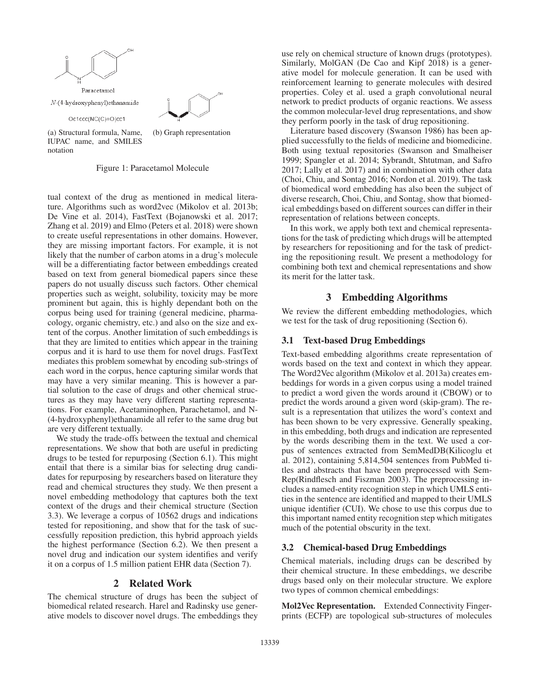

(a) Structural formula, Name, IUPAC name, and SMILES notation

Figure 1: Paracetamol Molecule

tual context of the drug as mentioned in medical literature. Algorithms such as word2vec (Mikolov et al. 2013b; De Vine et al. 2014), FastText (Bojanowski et al. 2017; Zhang et al. 2019) and Elmo (Peters et al. 2018) were shown to create useful representations in other domains. However, they are missing important factors. For example, it is not likely that the number of carbon atoms in a drug's molecule will be a differentiating factor between embeddings created based on text from general biomedical papers since these papers do not usually discuss such factors. Other chemical properties such as weight, solubility, toxicity may be more prominent but again, this is highly dependant both on the corpus being used for training (general medicine, pharmacology, organic chemistry, etc.) and also on the size and extent of the corpus. Another limitation of such embeddings is that they are limited to entities which appear in the training corpus and it is hard to use them for novel drugs. FastText mediates this problem somewhat by encoding sub-strings of each word in the corpus, hence capturing similar words that may have a very similar meaning. This is however a partial solution to the case of drugs and other chemical structures as they may have very different starting representations. For example, Acetaminophen, Parachetamol, and N- (4-hydroxyphenyl)ethanamide all refer to the same drug but are very different textually.

We study the trade-offs between the textual and chemical representations. We show that both are useful in predicting drugs to be tested for repurposing (Section 6.1). This might entail that there is a similar bias for selecting drug candidates for repurposing by researchers based on literature they read and chemical structures they study. We then present a novel embedding methodology that captures both the text context of the drugs and their chemical structure (Section 3.3). We leverage a corpus of 10562 drugs and indications tested for repositioning, and show that for the task of successfully reposition prediction, this hybrid approach yields the highest performance (Section 6.2). We then present a novel drug and indication our system identifies and verify it on a corpus of 1.5 million patient EHR data (Section 7).

# 2 Related Work

The chemical structure of drugs has been the subject of biomedical related research. Harel and Radinsky use generative models to discover novel drugs. The embeddings they

use rely on chemical structure of known drugs (prototypes). Similarly, MolGAN (De Cao and Kipf 2018) is a generative model for molecule generation. It can be used with reinforcement learning to generate molecules with desired properties. Coley et al. used a graph convolutional neural network to predict products of organic reactions. We assess the common molecular-level drug representations, and show they perform poorly in the task of drug repositioning.

Literature based discovery (Swanson 1986) has been applied successfully to the fields of medicine and biomedicine. Both using textual repositories (Swanson and Smalheiser 1999; Spangler et al. 2014; Sybrandt, Shtutman, and Safro 2017; Lally et al. 2017) and in combination with other data (Choi, Chiu, and Sontag 2016; Nordon et al. 2019). The task of biomedical word embedding has also been the subject of diverse research, Choi, Chiu, and Sontag, show that biomedical embeddings based on different sources can differ in their representation of relations between concepts.

In this work, we apply both text and chemical representations for the task of predicting which drugs will be attempted by researchers for repositioning and for the task of predicting the repositioning result. We present a methodology for combining both text and chemical representations and show its merit for the latter task.

## 3 Embedding Algorithms

We review the different embedding methodologies, which we test for the task of drug repositioning (Section 6).

## 3.1 Text-based Drug Embeddings

Text-based embedding algorithms create representation of words based on the text and context in which they appear. The Word2Vec algorithm (Mikolov et al. 2013a) creates embeddings for words in a given corpus using a model trained to predict a word given the words around it (CBOW) or to predict the words around a given word (skip-gram). The result is a representation that utilizes the word's context and has been shown to be very expressive. Generally speaking, in this embedding, both drugs and indication are represented by the words describing them in the text. We used a corpus of sentences extracted from SemMedDB(Kilicoglu et al. 2012), containing 5,814,504 sentences from PubMed titles and abstracts that have been preprocessed with Sem-Rep(Rindflesch and Fiszman 2003). The preprocessing includes a named-entity recognition step in which UMLS entities in the sentence are identified and mapped to their UMLS unique identifier (CUI). We chose to use this corpus due to this important named entity recognition step which mitigates much of the potential obscurity in the text.

# 3.2 Chemical-based Drug Embeddings

Chemical materials, including drugs can be described by their chemical structure. In these embeddings, we describe drugs based only on their molecular structure. We explore two types of common chemical embeddings:

Mol2Vec Representation. Extended Connectivity Fingerprints (ECFP) are topological sub-structures of molecules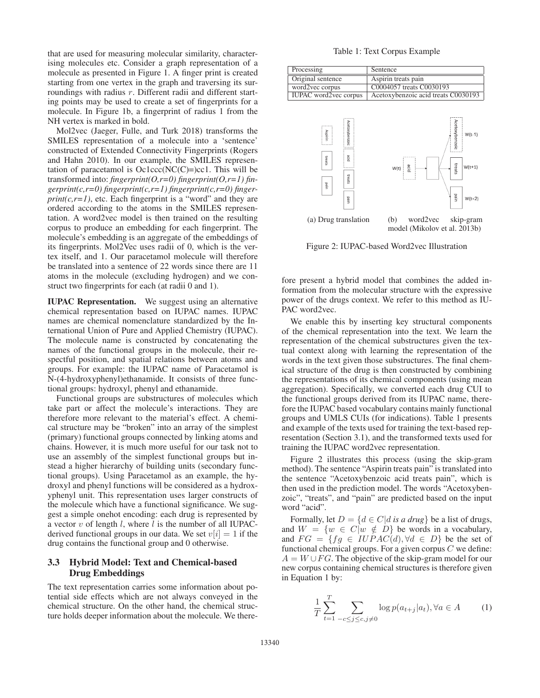that are used for measuring molecular similarity, characterising molecules etc. Consider a graph representation of a molecule as presented in Figure 1. A finger print is created starting from one vertex in the graph and traversing its surroundings with radius r. Different radii and different starting points may be used to create a set of fingerprints for a molecule. In Figure 1b, a fingerprint of radius 1 from the NH vertex is marked in bold.

Mol2vec (Jaeger, Fulle, and Turk 2018) transforms the SMILES representation of a molecule into a 'sentence' constructed of Extended Connectivity Fingerprints (Rogers and Hahn 2010). In our example, the SMILES representation of paracetamol is  $Oc1ccc(NC(C)=)cc1$ . This will be transformed into: *fingerprint(O,r=0) fingerprint(O,r=1) fingerprint(c,r=0) fingerprint(c,r=1) fingerprint(c,r=0) finger* $print(c, r=1)$ , etc. Each fingerprint is a "word" and they are ordered according to the atoms in the SMILES representation. A word2vec model is then trained on the resulting corpus to produce an embedding for each fingerprint. The molecule's embedding is an aggregate of the embeddings of its fingerprints. Mol2Vec uses radii of 0, which is the vertex itself, and 1. Our paracetamol molecule will therefore be translated into a sentence of 22 words since there are 11 atoms in the molecule (excluding hydrogen) and we construct two fingerprints for each (at radii 0 and 1).

IUPAC Representation. We suggest using an alternative chemical representation based on IUPAC names. IUPAC names are chemical nomenclature standardized by the International Union of Pure and Applied Chemistry (IUPAC). The molecule name is constructed by concatenating the names of the functional groups in the molecule, their respectful position, and spatial relations between atoms and groups. For example: the IUPAC name of Paracetamol is N-(4-hydroxyphenyl)ethanamide. It consists of three functional groups: hydroxyl, phenyl and ethanamide.

Functional groups are substructures of molecules which take part or affect the molecule's interactions. They are therefore more relevant to the material's effect. A chemical structure may be "broken" into an array of the simplest (primary) functional groups connected by linking atoms and chains. However, it is much more useful for our task not to use an assembly of the simplest functional groups but instead a higher hierarchy of building units (secondary functional groups). Using Paracetamol as an example, the hydroxyl and phenyl functions will be considered as a hydroxyphenyl unit. This representation uses larger constructs of the molecule which have a functional significance. We suggest a simple onehot encoding: each drug is represented by a vector  $v$  of length  $l$ , where  $l$  is the number of all IUPACderived functional groups in our data. We set  $v[i]=1$  if the drug contains the functional group and 0 otherwise.

## 3.3 Hybrid Model: Text and Chemical-based Drug Embeddings

The text representation carries some information about potential side effects which are not always conveyed in the chemical structure. On the other hand, the chemical structure holds deeper information about the molecule. We there-

#### Table 1: Text Corpus Example

| Processing                   | Sentence                            |  |
|------------------------------|-------------------------------------|--|
| Original sentence            | Aspirin treats pain                 |  |
| word2vec corpus              | C0004057 treats C0030193            |  |
| <b>IUPAC</b> word2vec corpus | Acetoxybenzoic acid treats C0030193 |  |



Figure 2: IUPAC-based Word2vec Illustration

fore present a hybrid model that combines the added information from the molecular structure with the expressive power of the drugs context. We refer to this method as IU-PAC word2vec.

We enable this by inserting key structural components of the chemical representation into the text. We learn the representation of the chemical substructures given the textual context along with learning the representation of the words in the text given those substructures. The final chemical structure of the drug is then constructed by combining the representations of its chemical components (using mean aggregation). Specifically, we converted each drug CUI to the functional groups derived from its IUPAC name, therefore the IUPAC based vocabulary contains mainly functional groups and UMLS CUIs (for indications). Table 1 presents and example of the texts used for training the text-based representation (Section 3.1), and the transformed texts used for training the IUPAC word2vec representation.

Figure 2 illustrates this process (using the skip-gram method). The sentence "Aspirin treats pain" is translated into the sentence "Acetoxybenzoic acid treats pain", which is then used in the prediction model. The words "Acetoxybenzoic", "treats", and "pain" are predicted based on the input word "acid".

Formally, let  $D = \{d \in C | d \text{ is a drug}\}$  be a list of drugs, and  $W = \{w \in C | w \notin D\}$  be words in a vocabulary, and  $FG = \{fg \in IUPAC(d), \forall d \in D\}$  be the set of functional chemical groups. For a given corpus  $C$  we define:  $A = W \cup FG$ . The objective of the skip-gram model for our new corpus containing chemical structures is therefore given in Equation 1 by:

$$
\frac{1}{T} \sum_{t=1}^{T} \sum_{-c \le j \le c, j \ne 0} \log p(a_{t+j}|a_t), \forall a \in A \tag{1}
$$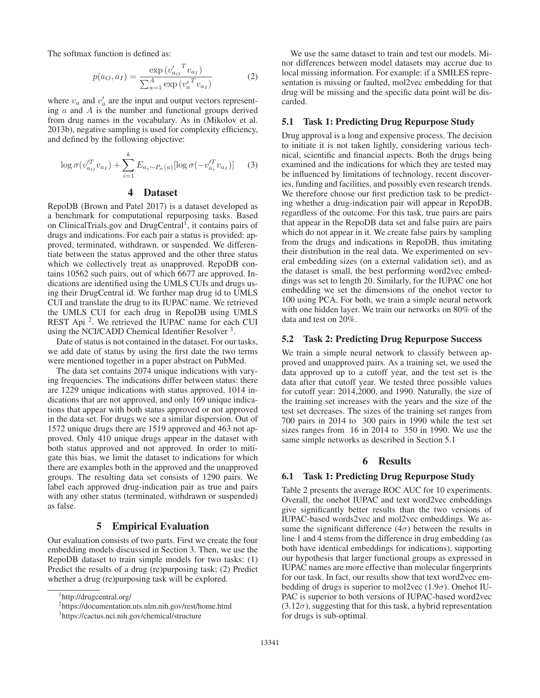The softmax function is defined as:

$$
p(a_O, a_I) = \frac{\exp(v'_{a_O}^T v_{a_I})}{\sum_{a=1}^A \exp(v'^T_a v_{a_I})}
$$
(2)

where  $v_a$  and  $v'_a$  are the input and output vectors representing  $a$  and  $A$  is the number and functional groups derived from drug names in the vocabulary. As in (Mikolov et al. 2013b), negative sampling is used for complexity efficiency, and defined by the following objective:

$$
\log \sigma(v_{a_O}^{\prime T} v_{a_I}) + \sum_{i=1}^{k} E_{a_i \sim P_n(a)} [\log \sigma(-v_{a_i}^{\prime T} v_{a_I})] \qquad (3)
$$

## 4 Dataset

RepoDB (Brown and Patel 2017) is a dataset developed as a benchmark for computational repurposing tasks. Based on ClinicalTrials.gov and DrugCentral<sup>1</sup>, it contains pairs of drugs and indications. For each pair a status is provided: approved, terminated, withdrawn, or suspended. We differentiate between the status approved and the other three status which we collectively treat as unapproved. RepoDB contains 10562 such pairs, out of which 6677 are approved. Indications are identified using the UMLS CUIs and drugs using their DrugCentral id. We further map drug id to UMLS CUI and translate the drug to its IUPAC name. We retrieved the UMLS CUI for each drug in RepoDB using UMLS REST Api<sup>2</sup>. We retrieved the IUPAC name for each CUI using the NCI/CADD Chemical Identifier Resolver<sup>3</sup>.

Date of status is not contained in the dataset. For our tasks, we add date of status by using the first date the two terms were mentioned together in a paper abstract on PubMed.

The data set contains 2074 unique indications with varying frequencies. The indications differ between status: there are 1229 unique indications with status approved, 1014 indications that are not approved, and only 169 unique indications that appear with both status approved or not approved in the data set. For drugs we see a similar dispersion. Out of 1572 unique drugs there are 1519 approved and 463 not approved. Only 410 unique drugs appear in the dataset with both status approved and not approved. In order to mitigate this bias, we limit the dataset to indications for which there are examples both in the approved and the unapproved groups. The resulting data set consists of 1290 pairs. We label each approved drug-indication pair as true and pairs with any other status (terminated, withdrawn or suspended) as false.

## 5 Empirical Evaluation

Our evaluation consists of two parts. First we create the four embedding models discussed in Section 3. Then, we use the RepoDB dataset to train simple models for two tasks: (1) Predict the results of a drug (re)purposing task; (2) Predict whether a drug (re)purposing task will be explored.

We use the same dataset to train and test our models. Minor differences between model datasets may accrue due to local missing information. For example: if a SMILES representation is missing or faulted, mol2vec embedding for that drug will be missing and the specific data point will be discarded.

## 5.1 Task 1: Predicting Drug Repurpose Study

Drug approval is a long and expensive process. The decision to initiate it is not taken lightly, considering various technical, scientific and financial aspects. Both the drugs being examined and the indications for which they are tested may be influenced by limitations of technology, recent discoveries, funding and facilities, and possibly even research trends. We therefore choose our first prediction task to be predicting whether a drug-indication pair will appear in RepoDB, regardless of the outcome. For this task, true pairs are pairs that appear in the RepoDB data set and false pairs are pairs which do not appear in it. We create false pairs by sampling from the drugs and indications in RepoDB, thus imitating their distribution in the real data. We experimented on several embedding sizes (on a external validation set), and as the dataset is small, the best performing word2vec embeddings was set to length 20. Similarly, for the IUPAC one hot embedding we set the dimensions of the onehot vector to 100 using PCA. For both, we train a simple neural network with one hidden layer. We train our networks on 80% of the data and test on 20%.

#### 5.2 Task 2: Predicting Drug Repurpose Success

We train a simple neural network to classify between approved and unapproved pairs. As a training set, we used the data approved up to a cutoff year, and the test set is the data after that cutoff year. We tested three possible values for cutoff year: 2014,2000, and 1990. Naturally, the size of the training set increases with the years and the size of the test set decreases. The sizes of the training set ranges from 700 pairs in 2014 to 300 pairs in 1990 while the test set sizes ranges from 16 in 2014 to 350 in 1990. We use the same simple networks as described in Section 5.1

### 6 Results

#### 6.1 Task 1: Predicting Drug Repurpose Study

Table 2 presents the average ROC AUC for 10 experiments. Overall, the onehot IUPAC and text word2vec embeddings give significantly better results than the two versions of IUPAC-based words2vec and mol2vec embeddings. We assume the significant difference  $(4\sigma)$  between the results in line 1 and 4 stems from the difference in drug embedding (as both have identical embeddings for indications), supporting our hypothesis that larger functional groups as expressed in IUPAC names are more effective than molecular fingerprints for our task. In fact, our results show that text word2vec embedding of drugs is superior to mol2vec  $(1.9\sigma)$ . Onehot IU-PAC is superior to both versions of IUPAC-based word2vec  $(3.12\sigma)$ , suggesting that for this task, a hybrid representation for drugs is sub-optimal.

<sup>1</sup> http://drugcentral.org/

<sup>2</sup> https://documentation.uts.nlm.nih.gov/rest/home.html

<sup>3</sup> https://cactus.nci.nih.gov/chemical/structure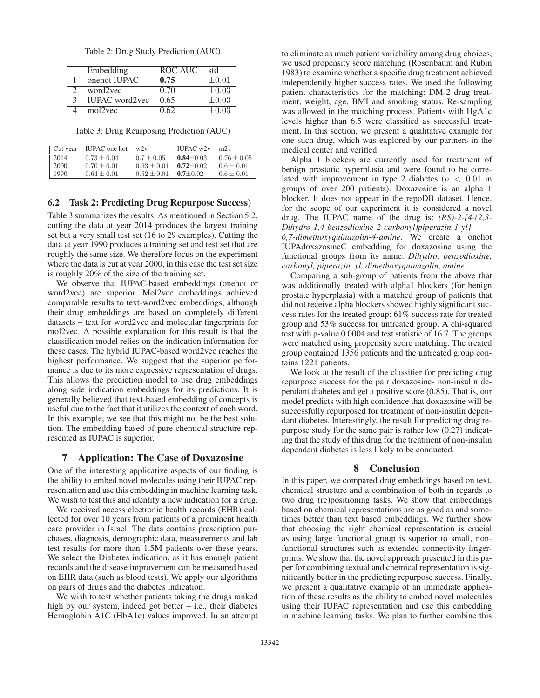| Embedding             | ROC AUC | std        |
|-----------------------|---------|------------|
| onehot IUPAC          | 0.75    | $\pm 0.01$ |
| word2yec              | 0.70    | $\pm 0.03$ |
| <b>IUPAC</b> word2vec | 0.65    | $\pm 0.03$ |
| mol2vec               | 0.62    | $\pm 0.03$ |
|                       |         |            |

Table 2: Drug Study Prediction (AUC)

Table 3: Drug Reurposing Prediction (AUC)

| Cut year | <b>IUPAC</b> one hot | w2v             | IUPAC $w2v$   | m2v             |
|----------|----------------------|-----------------|---------------|-----------------|
| 2014     | $0.73 + 0.04$        | $0.7 + 0.05$    | $0.84 + 0.03$ | $0.76 \pm 0.05$ |
| 2000     | $0.70 + 0.01$        | $0.63 + 0.01$   | $0.72 + 0.02$ | $0.6 + 0.01$    |
| 1990     | $0.64 \pm 0.01$      | $0.52 \pm 0.01$ | $0.7 + 0.02$  | $0.6 \pm 0.01$  |
|          |                      |                 |               |                 |

## 6.2 Task 2: Predicting Drug Repurpose Success)

Table 3 summarizes the results. As mentioned in Section 5.2, cutting the data at year 2014 produces the largest training set but a very small test set (16 to 29 examples). Cutting the data at year 1990 produces a training set and test set that are roughly the same size. We therefore focus on the experiment where the data is cut at year 2000, in this case the test set size is roughly 20% of the size of the training set.

We observe that IUPAC-based embeddings (onehot or word2vec) are superior. Mol2vec embeddings achieved comparable results to text-word2vec embeddings, although their drug embeddings are based on completely different datasets – text for word2vec and molecular fingerprints for mol2vec. A possible explanation for this result is that the classification model relies on the indication information for these cases. The hybrid IUPAC-based word2vec reaches the highest performance. We suggest that the superior performance is due to its more expressive representation of drugs. This allows the prediction model to use drug embeddings along side indication embeddings for its predictions. It is generally believed that text-based embedding of concepts is useful due to the fact that it utilizes the context of each word. In this example, we see that this might not be the best solution. The embedding based of pure chemical structure represented as IUPAC is superior.

## 7 Application: The Case of Doxazosine

One of the interesting applicative aspects of our finding is the ability to embed novel molecules using their IUPAC representation and use this embedding in machine learning task. We wish to test this and identify a new indication for a drug.

We received access electronic health records (EHR) collected for over 10 years from patients of a prominent health care provider in Israel. The data contains prescription purchases, diagnosis, demographic data, measurements and lab test results for more than 1.5M patients over these years. We select the Diabetes indication, as it has enough patient records and the disease improvement can be measured based on EHR data (such as blood tests). We apply our algorithms on pairs of drugs and the diabetes indication.

We wish to test whether patients taking the drugs ranked high by our system, indeed got better – i.e., their diabetes Hemoglobin A1C (HbA1c) values improved. In an attempt

to eliminate as much patient variability among drug choices, we used propensity score matching (Rosenbaum and Rubin 1983) to examine whether a specific drug treatment achieved independently higher success rates. We used the following patient characteristics for the matching: DM-2 drug treatment, weight, age, BMI and smoking status. Re-sampling was allowed in the matching process. Patients with HgA1c levels higher than 6.5 were classified as successful treatment. In this section, we present a qualitative example for one such drug, which was explored by our partners in the medical center and verified.

Alpha 1 blockers are currently used for treatment of benign prostatic hyperplasia and were found to be correlated with improvement in type 2 diabetes ( $p < 0.01$  in groups of over 200 patients). Doxazosine is an alpha 1 blocker. It does not appear in the repoDB dataset. Hence, for the scope of our experiment it is considered a novel drug. The IUPAC name of the drug is: *(RS)-2-[4-(2,3- Dihydro-1,4-benzodioxine-2-carbonyl)piperazin-1-yl]-*

*6,7-dimethoxyquinazolin-4-amine*. We create a onehot IUPAdoxazosineC embedding for doxazosine using the functional groups from its name: *Dihydro, benzodioxine, carbonyl, piperazin, yl, dimethoxyquinazolin, amine*.

Comparing a sub-group of patients from the above that was additionally treated with alpha1 blockers (for benign prostate hyperplasia) with a matched group of patients that did not receive alpha blockers showed highly significant success rates for the treated group: 61% success rate for treated group and 53% success for untreated group. A chi-squared test with p-value 0.0004 and test statistic of 16.7. The groups were matched using propensity score matching. The treated group contained 1356 patients and the untreated group contains 1221 patients.

We look at the result of the classifier for predicting drug repurpose success for the pair doxazosine- non-insulin dependant diabetes and get a positive score (0.85). That is, our model predicts with high confidence that doxazosine will be successfully repurposed for treatment of non-insulin dependant diabetes. Interestingly, the result for predicting drug repurpose study for the same pair is rather low (0.27) indicating that the study of this drug for the treatment of non-insulin dependant diabetes is less likely to be conducted.

#### 8 Conclusion

In this paper, we compared drug embeddings based on text, chemical structure and a combination of both in regards to two drug (re)positioning tasks. We show that embeddings based on chemical representations are as good as and sometimes better than text based embeddings. We further show that choosing the right chemical representation is crucial as using large functional group is superior to small, nonfunctional structures such as extended connectivity fingerprints. We show that the novel approach presented in this paper for combining textual and chemical representation is significantly better in the predicting repurpose success. Finally, we present a qualitative example of an immediate application of these results as the ability to embed novel molecules using their IUPAC representation and use this embedding in machine learning tasks. We plan to further combine this